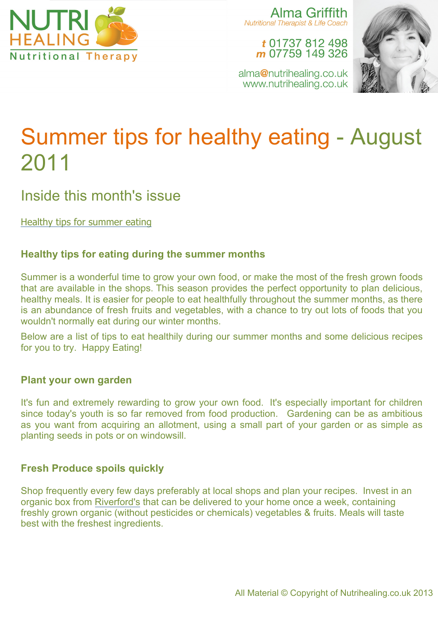

Alma Griffith **Nutritional Therapist & Life Coach** 

t 01737 812 498 m 07759 149 326



alma@nutrihealing.co.uk www.nutrihealing.co.uk

# Summer tips for healthy eating - August 2011

# Inside this month's issue

Healthy tips for summer eating

# **Healthy tips for eating during the summer months**

Summer is a wonderful time to grow your own food, or make the most of the fresh grown foods that are available in the shops. This season provides the perfect opportunity to plan delicious, healthy meals. It is easier for people to eat healthfully throughout the summer months, as there is an abundance of fresh fruits and vegetables, with a chance to try out lots of foods that you wouldn't normally eat during our winter months.

Below are a list of tips to eat healthily during our summer months and some delicious recipes for you to try. Happy Eating!

## **Plant your own garden**

It's fun and extremely rewarding to grow your own food. It's especially important for children since today's youth is so far removed from food production. Gardening can be as ambitious as you want from acquiring an allotment, using a small part of your garden or as simple as planting seeds in pots or on windowsill.

## **Fresh Produce spoils quickly**

Shop frequently every few days preferably at local shops and plan your recipes. Invest in an organic box from Riverford's that can be delivered to your home once a week, containing freshly grown organic (without pesticides or chemicals) vegetables & fruits. Meals will taste best with the freshest ingredients.